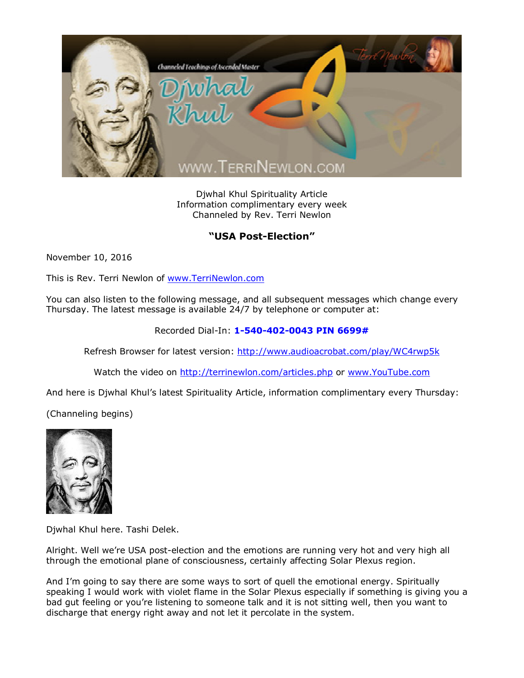

Djwhal Khul Spirituality Article Information complimentary every week Channeled by Rev. Terri Newlon

## **"USA Post-Election"**

November 10, 2016

This is Rev. Terri Newlon of [www.TerriNewlon.com](http://www.terrinewlon.com/)

You can also listen to the following message, and all subsequent messages which change every Thursday. The latest message is available 24/7 by telephone or computer at:

Recorded Dial-In: **1-540-402-0043 PIN 6699#**

Refresh Browser for latest version: <http://www.audioacrobat.com/play/WC4rwp5k>

Watch the video on <http://terrinewlon.com/articles.php> or [www.YouTube.com](http://www.youtube.com/)

And here is Djwhal Khul's latest Spirituality Article, information complimentary every Thursday:

(Channeling begins)



Djwhal Khul here. Tashi Delek.

Alright. Well we're USA post-election and the emotions are running very hot and very high all through the emotional plane of consciousness, certainly affecting Solar Plexus region.

And I'm going to say there are some ways to sort of quell the emotional energy. Spiritually speaking I would work with violet flame in the Solar Plexus especially if something is giving you a bad gut feeling or you're listening to someone talk and it is not sitting well, then you want to discharge that energy right away and not let it percolate in the system.